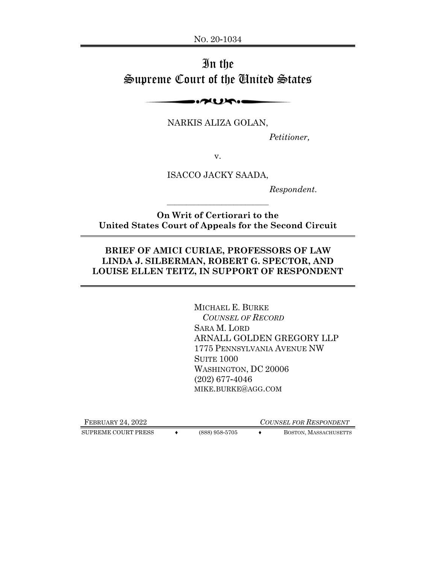# In the Supreme Court of the United States

 $\sim$ 

NARKIS ALIZA GOLAN,

 *Petitioner,* 

v.

ISACCO JACKY SAADA,

 *Respondent.* 

**On Writ of Certiorari to the United States Court of Appeals for the Second Circuit** 

 $\mathcal{L}_\text{max}$ 

## **BRIEF OF AMICI CURIAE, PROFESSORS OF LAW LINDA J. SILBERMAN, ROBERT G. SPECTOR, AND LOUISE ELLEN TEITZ, IN SUPPORT OF RESPONDENT**

MICHAEL E. BURKE  *COUNSEL OF RECORD*  SARA M. LORD ARNALL GOLDEN GREGORY LLP 1775 PENNSYLVANIA AVENUE NW **SUITE 1000** WASHINGTON, DC 20006 (202) 677-4046 MIKE.BURKE@AGG.COM

SUPREME COURT PRESS  $\leftrightarrow$  (888) 958-5705  $\leftrightarrow$  BOSTON, MASSACHUSETTS

FEBRUARY 24, 2022 *COUNSEL FOR RESPONDENT*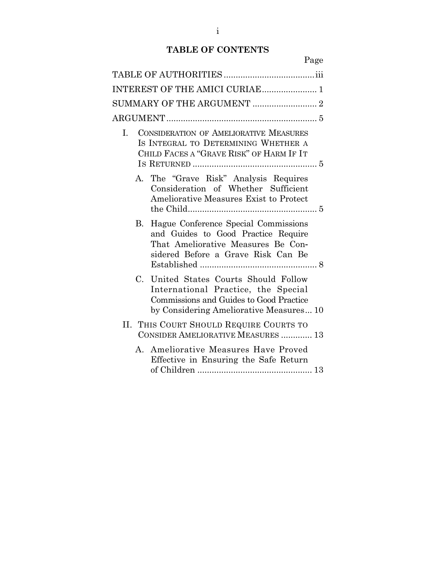## **TABLE OF CONTENTS**

Page

| INTEREST OF THE AMICI CURIAE 1                                                                                                                                                 |  |
|--------------------------------------------------------------------------------------------------------------------------------------------------------------------------------|--|
|                                                                                                                                                                                |  |
|                                                                                                                                                                                |  |
| <b>CONSIDERATION OF AMELIORATIVE MEASURES</b><br>I.<br>IS INTEGRAL TO DETERMINING WHETHER A<br>CHILD FACES A "GRAVE RISK" OF HARM IF IT                                        |  |
| A. The "Grave Risk" Analysis Requires<br>Consideration of Whether Sufficient<br><b>Ameliorative Measures Exist to Protect</b>                                                  |  |
| B. Hague Conference Special Commissions<br>and Guides to Good Practice Require<br>That Ameliorative Measures Be Con-<br>sidered Before a Grave Risk Can Be                     |  |
| $C_{\cdot}$<br>United States Courts Should Follow<br>International Practice, the Special<br>Commissions and Guides to Good Practice<br>by Considering Ameliorative Measures 10 |  |
| II. THIS COURT SHOULD REQUIRE COURTS TO<br>CONSIDER AMELIORATIVE MEASURES  13                                                                                                  |  |
| A. Ameliorative Measures Have Proved<br>Effective in Ensuring the Safe Return                                                                                                  |  |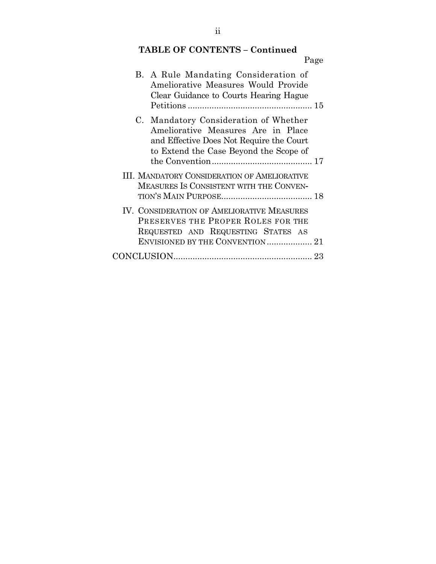## **TABLE OF CONTENTS – Continued**

| Page                                                                                                                                                              |  |
|-------------------------------------------------------------------------------------------------------------------------------------------------------------------|--|
| B. A Rule Mandating Consideration of<br>Ameliorative Measures Would Provide<br>Clear Guidance to Courts Hearing Hague                                             |  |
| C. Mandatory Consideration of Whether<br>Ameliorative Measures Are in Place<br>and Effective Does Not Require the Court<br>to Extend the Case Beyond the Scope of |  |
| <b>III. MANDATORY CONSIDERATION OF AMELIORATIVE</b><br>MEASURES IS CONSISTENT WITH THE CONVEN-                                                                    |  |
| IV. CONSIDERATION OF AMELIORATIVE MEASURES<br>PRESERVES THE PROPER ROLES FOR THE<br>REQUESTED AND REQUESTING STATES AS                                            |  |
|                                                                                                                                                                   |  |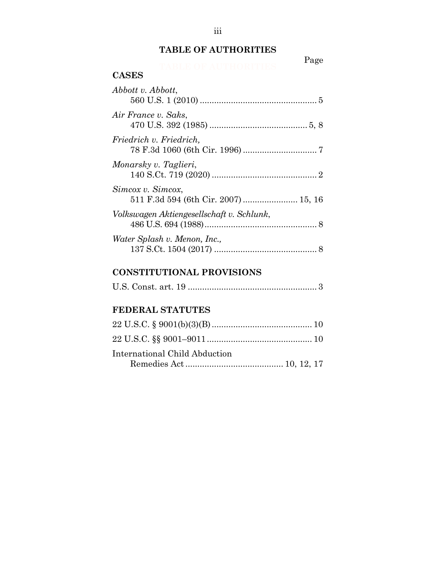## **TABLE OF AUTHORITIES**

# **Page**

#### **CASES**

| Abbott v. Abbott,                                         |  |
|-----------------------------------------------------------|--|
| Air France v. Saks,                                       |  |
| Friedrich v. Friedrich,                                   |  |
| Monarsky v. Taglieri,                                     |  |
| Simcox v. Simcox,<br>511 F.3d 594 (6th Cir. 2007)  15, 16 |  |
| Volkswagen Aktiengesellschaft v. Schlunk,                 |  |
| Water Splash v. Menon, Inc.,                              |  |

## **CONSTITUTIONAL PROVISIONS**

|--|--|--|--|--|--|

## **FEDERAL STATUTES**

| International Child Abduction |  |  |
|-------------------------------|--|--|
|                               |  |  |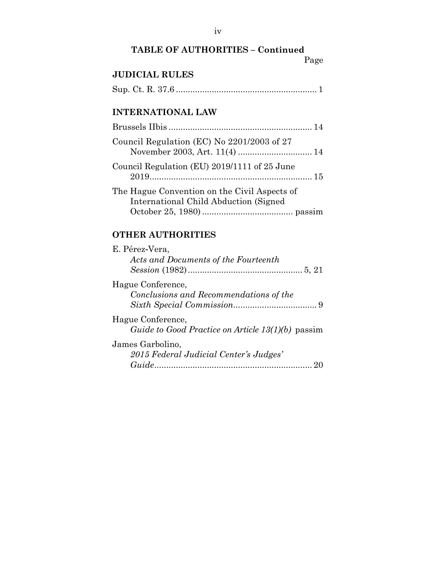## **TABLE OF AUTHORITIES – Continued**  Page

## **JUDICIAL RULES**

|--|--|--|--|

## **INTERNATIONAL LAW**

| Council Regulation (EC) No 2201/2003 of 27                                             |
|----------------------------------------------------------------------------------------|
| Council Regulation (EU) 2019/1111 of 25 June                                           |
| The Hague Convention on the Civil Aspects of<br>International Child Abduction (Signed) |

## **OTHER AUTHORITIES**

| E. Pérez-Vera,                                           |
|----------------------------------------------------------|
| Acts and Documents of the Fourteenth                     |
|                                                          |
| Hague Conference,                                        |
| Conclusions and Recommendations of the                   |
|                                                          |
| Hague Conference,                                        |
| <i>Guide to Good Practice on Article 13(1)(b)</i> passim |
| James Garbolino,                                         |
| 2015 Federal Judicial Center's Judges'                   |
|                                                          |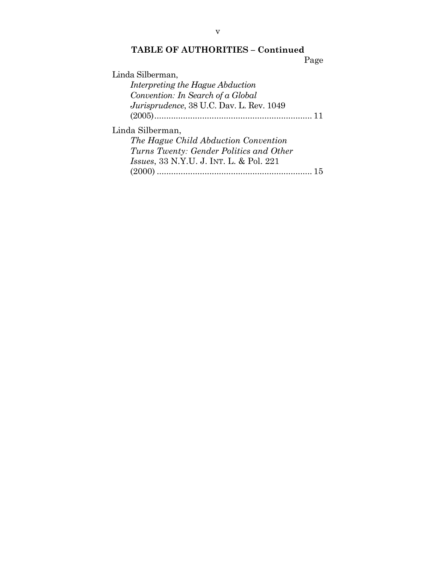## **TABLE OF AUTHORITIES – Continued**  Page

| Interpreting the Hague Abduction                |
|-------------------------------------------------|
|                                                 |
| Convention: In Search of a Global               |
| Jurisprudence, 38 U.C. Dav. L. Rev. 1049        |
|                                                 |
| Linda Silberman,                                |
| The Hague Child Abduction Convention            |
| Turns Twenty: Gender Politics and Other         |
| <i>Issues</i> , 33 N.Y.U. J. INT. L. & Pol. 221 |
|                                                 |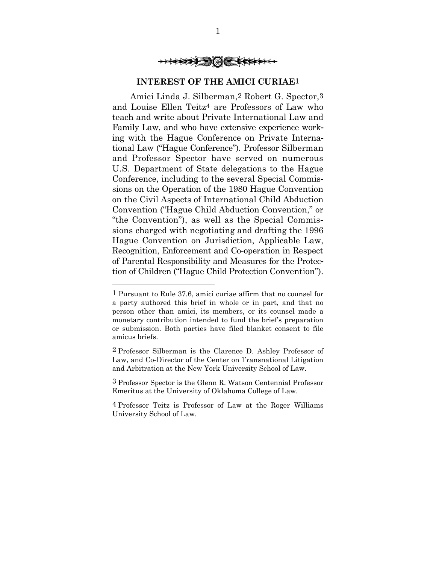

#### **INTEREST OF THE AMICI CURIAE**1

Amici Linda J. Silberman,2 Robert G. Spector,3 and Louise Ellen Teitz4 are Professors of Law who teach and write about Private International Law and Family Law, and who have extensive experience working with the Hague Conference on Private International Law ("Hague Conference"). Professor Silberman and Professor Spector have served on numerous U.S. Department of State delegations to the Hague Conference, including to the several Special Commissions on the Operation of the 1980 Hague Convention on the Civil Aspects of International Child Abduction Convention ("Hague Child Abduction Convention," or "the Convention"), as well as the Special Commissions charged with negotiating and drafting the 1996 Hague Convention on Jurisdiction, Applicable Law, Recognition, Enforcement and Co-operation in Respect of Parental Responsibility and Measures for the Protection of Children ("Hague Child Protection Convention").

l

3 Professor Spector is the Glenn R. Watson Centennial Professor Emeritus at the University of Oklahoma College of Law.

<sup>1</sup> Pursuant to Rule 37.6, amici curiae affirm that no counsel for a party authored this brief in whole or in part, and that no person other than amici, its members, or its counsel made a monetary contribution intended to fund the brief's preparation or submission. Both parties have filed blanket consent to file amicus briefs.

<sup>2</sup> Professor Silberman is the Clarence D. Ashley Professor of Law, and Co-Director of the Center on Transnational Litigation and Arbitration at the New York University School of Law.

<sup>4</sup> Professor Teitz is Professor of Law at the Roger Williams University School of Law.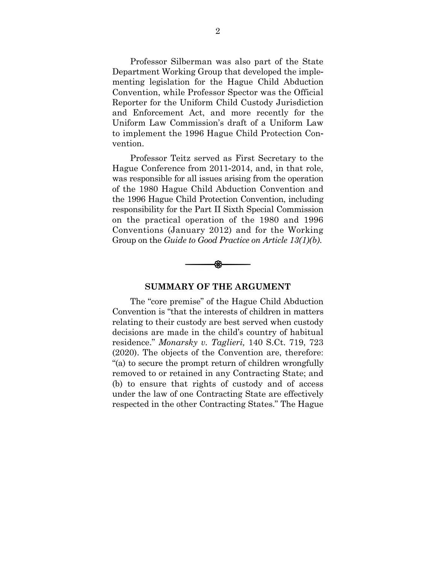Professor Silberman was also part of the State Department Working Group that developed the implementing legislation for the Hague Child Abduction Convention, while Professor Spector was the Official Reporter for the Uniform Child Custody Jurisdiction and Enforcement Act, and more recently for the Uniform Law Commission's draft of a Uniform Law to implement the 1996 Hague Child Protection Convention.

Professor Teitz served as First Secretary to the Hague Conference from 2011-2014, and, in that role, was responsible for all issues arising from the operation of the 1980 Hague Child Abduction Convention and the 1996 Hague Child Protection Convention, including responsibility for the Part II Sixth Special Commission on the practical operation of the 1980 and 1996 Conventions (January 2012) and for the Working Group on the *Guide to Good Practice on Article 13(1)(b)*.



#### **SUMMARY OF THE ARGUMENT**

The "core premise" of the Hague Child Abduction Convention is "that the interests of children in matters relating to their custody are best served when custody decisions are made in the child's country of habitual residence." *Monarsky v. Taglieri,* 140 S.Ct. 719, 723 (2020). The objects of the Convention are, therefore: "(a) to secure the prompt return of children wrongfully removed to or retained in any Contracting State; and (b) to ensure that rights of custody and of access under the law of one Contracting State are effectively respected in the other Contracting States." The Hague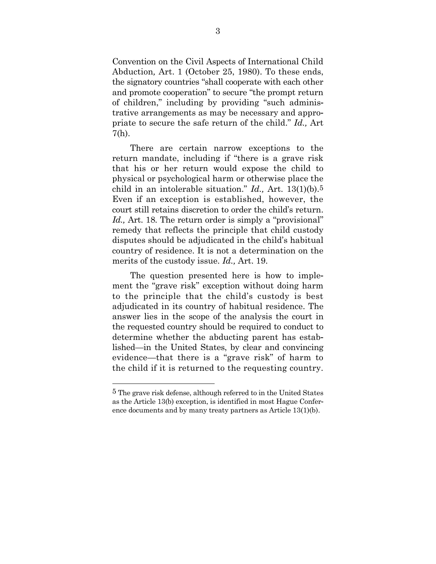Convention on the Civil Aspects of International Child Abduction*,* Art. 1 (October 25, 1980). To these ends, the signatory countries "shall cooperate with each other and promote cooperation" to secure "the prompt return of children," including by providing "such administrative arrangements as may be necessary and appropriate to secure the safe return of the child." *Id.,* Art 7(h).

There are certain narrow exceptions to the return mandate, including if "there is a grave risk that his or her return would expose the child to physical or psychological harm or otherwise place the child in an intolerable situation." *Id.,* Art. 13(1)(b).5 Even if an exception is established, however, the court still retains discretion to order the child's return. *Id.*, Art. 18. The return order is simply a "provisional" remedy that reflects the principle that child custody disputes should be adjudicated in the child's habitual country of residence. It is not a determination on the merits of the custody issue. *Id.,* Art. 19.

The question presented here is how to implement the "grave risk" exception without doing harm to the principle that the child's custody is best adjudicated in its country of habitual residence. The answer lies in the scope of the analysis the court in the requested country should be required to conduct to determine whether the abducting parent has established—in the United States, by clear and convincing evidence—that there is a "grave risk" of harm to the child if it is returned to the requesting country.

<sup>5</sup> The grave risk defense, although referred to in the United States as the Article 13(b) exception, is identified in most Hague Conference documents and by many treaty partners as Article 13(1)(b).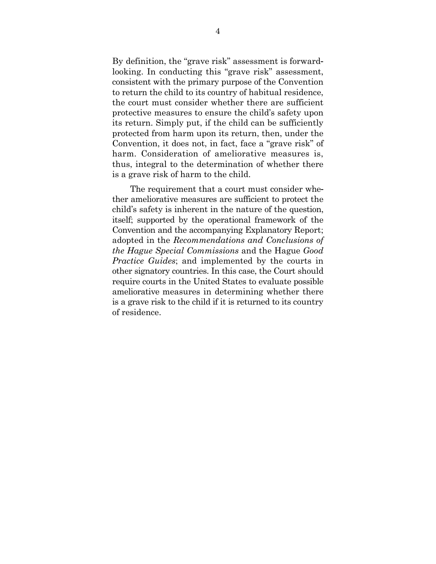By definition, the "grave risk" assessment is forwardlooking. In conducting this "grave risk" assessment, consistent with the primary purpose of the Convention to return the child to its country of habitual residence, the court must consider whether there are sufficient protective measures to ensure the child's safety upon its return. Simply put, if the child can be sufficiently protected from harm upon its return, then, under the Convention, it does not, in fact, face a "grave risk" of harm. Consideration of ameliorative measures is, thus, integral to the determination of whether there is a grave risk of harm to the child.

The requirement that a court must consider whether ameliorative measures are sufficient to protect the child's safety is inherent in the nature of the question, itself; supported by the operational framework of the Convention and the accompanying Explanatory Report; adopted in the *Recommendations and Conclusions of the Hague Special Commissions* and the Hague *Good Practice Guides*; and implemented by the courts in other signatory countries. In this case, the Court should require courts in the United States to evaluate possible ameliorative measures in determining whether there is a grave risk to the child if it is returned to its country of residence.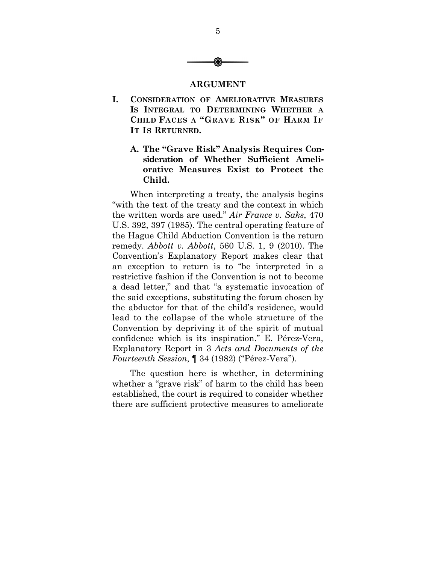

#### **ARGUMENT**

**I. CONSIDERATION OF AMELIORATIVE MEASURES IS INTEGRAL TO DETERMINING WHETHER A CHILD FACES A "GRAVE RISK" OF HARM IF IT IS RETURNED.** 

## **A. The "Grave Risk" Analysis Requires Consideration of Whether Sufficient Ameliorative Measures Exist to Protect the Child.**

When interpreting a treaty, the analysis begins "with the text of the treaty and the context in which the written words are used." *Air France v. Saks*, 470 U.S. 392, 397 (1985). The central operating feature of the Hague Child Abduction Convention is the return remedy. *Abbott v. Abbott*, 560 U.S. 1, 9 (2010). The Convention's Explanatory Report makes clear that an exception to return is to "be interpreted in a restrictive fashion if the Convention is not to become a dead letter," and that "a systematic invocation of the said exceptions, substituting the forum chosen by the abductor for that of the child's residence, would lead to the collapse of the whole structure of the Convention by depriving it of the spirit of mutual confidence which is its inspiration." E. Pérez-Vera, Explanatory Report in 3 *Acts and Documents of the Fourteenth Session*, ¶ 34 (1982) ("Pérez-Vera").

The question here is whether, in determining whether a "grave risk" of harm to the child has been established, the court is required to consider whether there are sufficient protective measures to ameliorate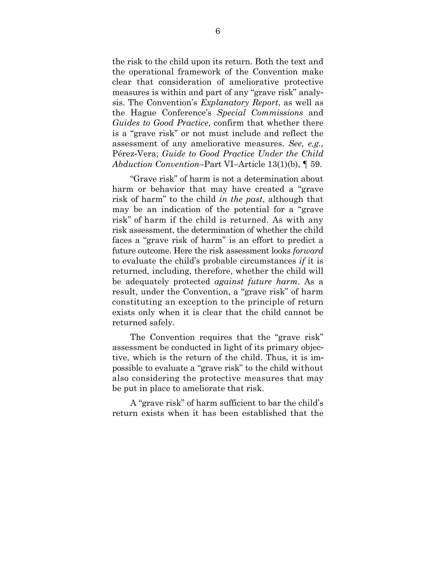the risk to the child upon its return. Both the text and the operational framework of the Convention make clear that consideration of ameliorative protective measures is within and part of any "grave risk" analysis. The Convention's *Explanatory Report*, as well as the Hague Conference's *Special Commissions* and *Guides to Good Practice*, confirm that whether there is a "grave risk" or not must include and reflect the assessment of any ameliorative measures. *See, e.g.,*  Pérez-Vera; *Guide to Good Practice Under the Child Abduction Convention*–Part VI–Article 13(1)(b), ¶ 59.

"Grave risk" of harm is not a determination about harm or behavior that may have created a "grave risk of harm" to the child *in the past*, although that may be an indication of the potential for a "grave risk" of harm if the child is returned. As with any risk assessment, the determination of whether the child faces a "grave risk of harm" is an effort to predict a future outcome. Here the risk assessment looks *forward*  to evaluate the child's probable circumstances *if* it is returned, including, therefore, whether the child will be adequately protected *against future harm*. As a result, under the Convention, a "grave risk" of harm constituting an exception to the principle of return exists only when it is clear that the child cannot be returned safely.

The Convention requires that the "grave risk" assessment be conducted in light of its primary objective, which is the return of the child. Thus, it is impossible to evaluate a "grave risk" to the child without also considering the protective measures that may be put in place to ameliorate that risk.

A "grave risk" of harm sufficient to bar the child's return exists when it has been established that the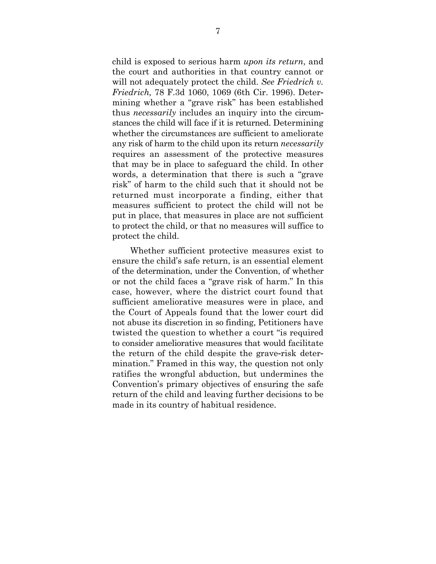child is exposed to serious harm *upon its return*, and the court and authorities in that country cannot or will not adequately protect the child. *See Friedrich v. Friedrich,* 78 F.3d 1060, 1069 (6th Cir. 1996). Determining whether a "grave risk" has been established thus *necessarily* includes an inquiry into the circumstances the child will face if it is returned. Determining whether the circumstances are sufficient to ameliorate any risk of harm to the child upon its return *necessarily* requires an assessment of the protective measures that may be in place to safeguard the child. In other words, a determination that there is such a "grave risk" of harm to the child such that it should not be returned must incorporate a finding, either that measures sufficient to protect the child will not be put in place, that measures in place are not sufficient to protect the child, or that no measures will suffice to protect the child.

Whether sufficient protective measures exist to ensure the child's safe return, is an essential element of the determination, under the Convention, of whether or not the child faces a "grave risk of harm." In this case, however, where the district court found that sufficient ameliorative measures were in place, and the Court of Appeals found that the lower court did not abuse its discretion in so finding, Petitioners have twisted the question to whether a court "is required to consider ameliorative measures that would facilitate the return of the child despite the grave-risk determination." Framed in this way, the question not only ratifies the wrongful abduction, but undermines the Convention's primary objectives of ensuring the safe return of the child and leaving further decisions to be made in its country of habitual residence.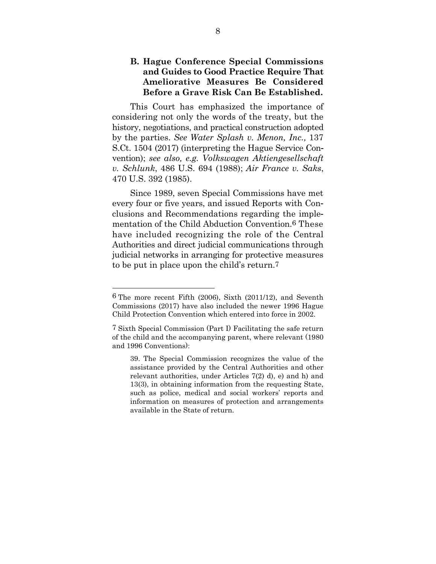## **B. Hague Conference Special Commissions and Guides to Good Practice Require That Ameliorative Measures Be Considered Before a Grave Risk Can Be Established.**

This Court has emphasized the importance of considering not only the words of the treaty, but the history, negotiations, and practical construction adopted by the parties. *See Water Splash v. Menon, Inc.,* 137 S.Ct. 1504 (2017) (interpreting the Hague Service Convention); *see also, e.g. Volkswagen Aktiengesellschaft v. Schlunk*, 486 U.S. 694 (1988); *Air France v. Saks*, 470 U.S. 392 (1985).

Since 1989, seven Special Commissions have met every four or five years, and issued Reports with Conclusions and Recommendations regarding the implementation of the Child Abduction Convention.6 These have included recognizing the role of the Central Authorities and direct judicial communications through judicial networks in arranging for protective measures to be put in place upon the child's return.7

<sup>6</sup> The more recent Fifth (2006), Sixth (2011/12), and Seventh Commissions (2017) have also included the newer 1996 Hague Child Protection Convention which entered into force in 2002.

<sup>7</sup> Sixth Special Commission (Part I) Facilitating the safe return of the child and the accompanying parent, where relevant (1980 and 1996 Conventions):

<sup>39.</sup> The Special Commission recognizes the value of the assistance provided by the Central Authorities and other relevant authorities, under Articles 7(2) d), e) and h) and 13(3), in obtaining information from the requesting State, such as police, medical and social workers' reports and information on measures of protection and arrangements available in the State of return.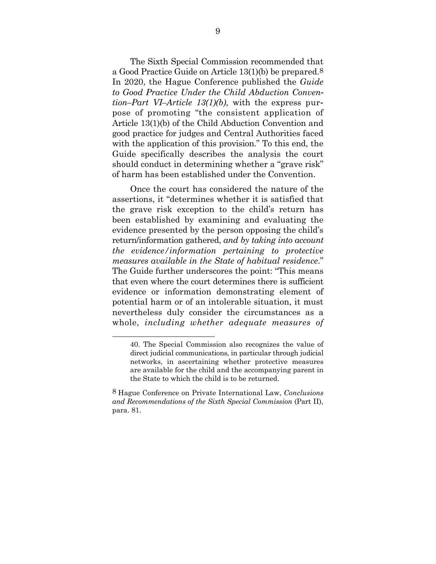The Sixth Special Commission recommended that a Good Practice Guide on Article 13(1)(b) be prepared.8 In 2020, the Hague Conference published the *Guide to Good Practice Under the Child Abduction Convention–Part VI–Article 13(1)(b)*, with the express purpose of promoting "the consistent application of Article 13(1)(b) of the Child Abduction Convention and good practice for judges and Central Authorities faced with the application of this provision." To this end, the Guide specifically describes the analysis the court should conduct in determining whether a "grave risk" of harm has been established under the Convention.

Once the court has considered the nature of the assertions, it "determines whether it is satisfied that the grave risk exception to the child's return has been established by examining and evaluating the evidence presented by the person opposing the child's return/information gathered, *and by taking into account the evidence/information pertaining to protective measures available in the State of habitual residence*." The Guide further underscores the point: "This means that even where the court determines there is sufficient evidence or information demonstrating element of potential harm or of an intolerable situation, it must nevertheless duly consider the circumstances as a whole, *including whether adequate measures of* 

<sup>40.</sup> The Special Commission also recognizes the value of direct judicial communications, in particular through judicial networks, in ascertaining whether protective measures are available for the child and the accompanying parent in the State to which the child is to be returned.

<sup>8</sup> Hague Conference on Private International Law, *Conclusions and Recommendations of the Sixth Special Commission* (Part II), para. 81.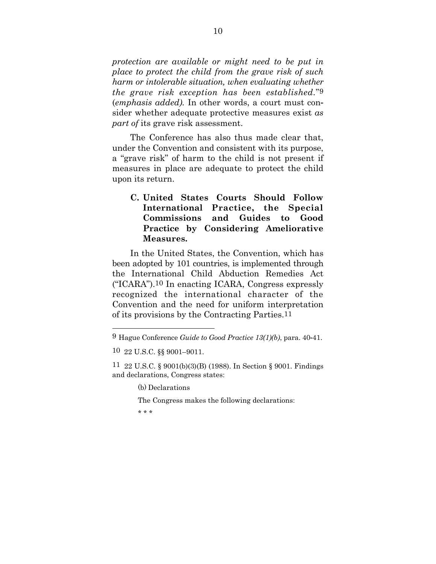*protection are available or might need to be put in place to protect the child from the grave risk of such harm or intolerable situation, when evaluating whether the grave risk exception has been established.*"9 (*emphasis added).* In other words, a court must consider whether adequate protective measures exist *as part of* its grave risk assessment.

The Conference has also thus made clear that, under the Convention and consistent with its purpose, a "grave risk" of harm to the child is not present if measures in place are adequate to protect the child upon its return.

**C. United States Courts Should Follow International Practice, the Special Commissions and Guides to Good Practice by Considering Ameliorative Measures.** 

In the United States, the Convention, which has been adopted by 101 countries, is implemented through the International Child Abduction Remedies Act ("ICARA").10 In enacting ICARA, Congress expressly recognized the international character of the Convention and the need for uniform interpretation of its provisions by the Contracting Parties.11

(b) Declarations

The Congress makes the following declarations:

\* \* \*

<sup>9</sup>Hague Conference *Guide to Good Practice 13(1)(b)*, para. 40-41.

<sup>10</sup> 22 U.S.C. §§ 9001–9011.

<sup>11</sup> 22 U.S.C. § 9001(b)(3)(B) (1988). In Section § 9001. Findings and declarations, Congress states: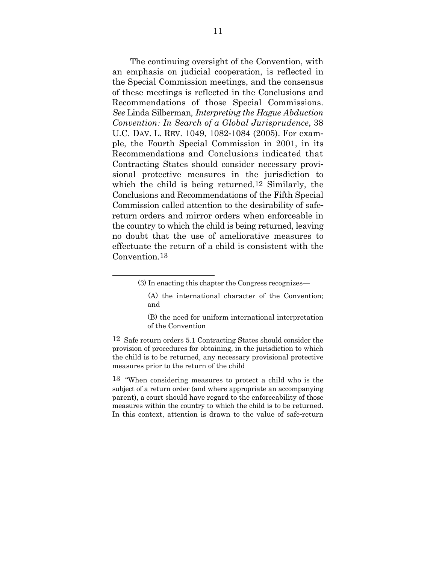The continuing oversight of the Convention, with an emphasis on judicial cooperation, is reflected in the Special Commission meetings, and the consensus of these meetings is reflected in the Conclusions and Recommendations of those Special Commissions. *See* Linda Silberman*, Interpreting the Hague Abduction Convention: In Search of a Global Jurisprudence*, 38 U.C. DAV. L. REV. 1049, 1082-1084 (2005). For example, the Fourth Special Commission in 2001, in its Recommendations and Conclusions indicated that Contracting States should consider necessary provisional protective measures in the jurisdiction to which the child is being returned.12 Similarly, the Conclusions and Recommendations of the Fifth Special Commission called attention to the desirability of safereturn orders and mirror orders when enforceable in the country to which the child is being returned, leaving no doubt that the use of ameliorative measures to effectuate the return of a child is consistent with the Convention.13

l

12 Safe return orders 5.1 Contracting States should consider the provision of procedures for obtaining, in the jurisdiction to which the child is to be returned, any necessary provisional protective measures prior to the return of the child

13 "When considering measures to protect a child who is the subject of a return order (and where appropriate an accompanying parent), a court should have regard to the enforceability of those measures within the country to which the child is to be returned. In this context, attention is drawn to the value of safe-return

<sup>(3)</sup> In enacting this chapter the Congress recognizes—

 <sup>(</sup>A) the international character of the Convention; and

<sup>(</sup>B) the need for uniform international interpretation of the Convention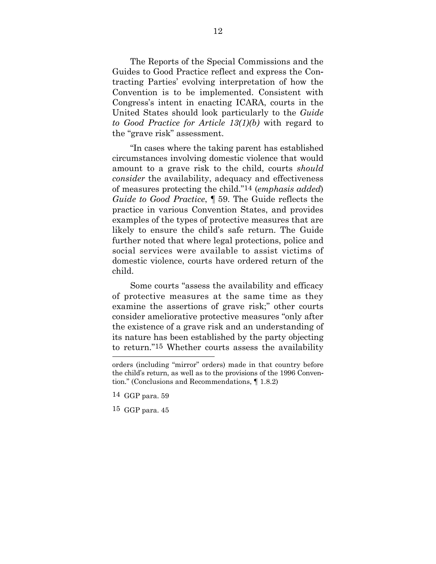The Reports of the Special Commissions and the Guides to Good Practice reflect and express the Contracting Parties' evolving interpretation of how the Convention is to be implemented. Consistent with Congress's intent in enacting ICARA, courts in the United States should look particularly to the *Guide to Good Practice for Article 13(1)(b)* with regard to the "grave risk" assessment.

"In cases where the taking parent has established circumstances involving domestic violence that would amount to a grave risk to the child, courts *should consider* the availability, adequacy and effectiveness of measures protecting the child."14 (*emphasis added*) *Guide to Good Practice*, ¶ 59. The Guide reflects the practice in various Convention States, and provides examples of the types of protective measures that are likely to ensure the child's safe return. The Guide further noted that where legal protections, police and social services were available to assist victims of domestic violence, courts have ordered return of the child.

Some courts "assess the availability and efficacy of protective measures at the same time as they examine the assertions of grave risk;" other courts consider ameliorative protective measures "only after the existence of a grave risk and an understanding of its nature has been established by the party objecting to return."15 Whether courts assess the availability

orders (including "mirror" orders) made in that country before the child's return, as well as to the provisions of the 1996 Convention." (Conclusions and Recommendations, ¶ 1.8.2)

<sup>14</sup> GGP para. 59

<sup>15</sup> GGP para. 45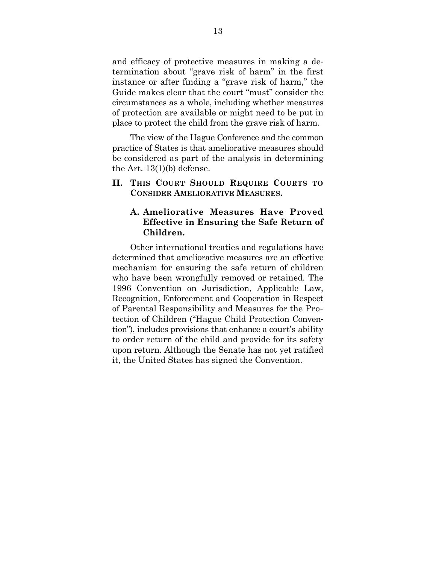and efficacy of protective measures in making a determination about "grave risk of harm" in the first instance or after finding a "grave risk of harm," the Guide makes clear that the court "must" consider the circumstances as a whole, including whether measures of protection are available or might need to be put in place to protect the child from the grave risk of harm.

The view of the Hague Conference and the common practice of States is that ameliorative measures should be considered as part of the analysis in determining the Art. 13(1)(b) defense.

#### **II. THIS COURT SHOULD REQUIRE COURTS TO CONSIDER AMELIORATIVE MEASURES.**

## **A. Ameliorative Measures Have Proved Effective in Ensuring the Safe Return of Children.**

Other international treaties and regulations have determined that ameliorative measures are an effective mechanism for ensuring the safe return of children who have been wrongfully removed or retained. The 1996 Convention on Jurisdiction, Applicable Law, Recognition, Enforcement and Cooperation in Respect of Parental Responsibility and Measures for the Protection of Children ("Hague Child Protection Convention"), includes provisions that enhance a court's ability to order return of the child and provide for its safety upon return. Although the Senate has not yet ratified it, the United States has signed the Convention.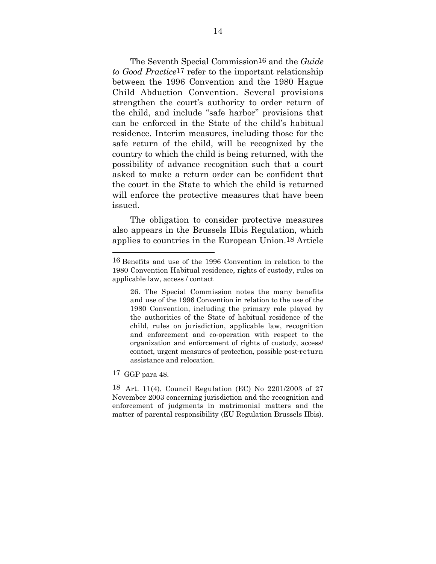The Seventh Special Commission16 and the *Guide to Good Practice*17 refer to the important relationship between the 1996 Convention and the 1980 Hague Child Abduction Convention. Several provisions strengthen the court's authority to order return of the child, and include "safe harbor" provisions that can be enforced in the State of the child's habitual residence. Interim measures, including those for the safe return of the child, will be recognized by the country to which the child is being returned, with the possibility of advance recognition such that a court asked to make a return order can be confident that the court in the State to which the child is returned will enforce the protective measures that have been issued.

The obligation to consider protective measures also appears in the Brussels IIbis Regulation, which applies to countries in the European Union.18 Article

17 GGP para 48.

<sup>16</sup> Benefits and use of the 1996 Convention in relation to the 1980 Convention Habitual residence, rights of custody, rules on applicable law, access / contact

<sup>26.</sup> The Special Commission notes the many benefits and use of the 1996 Convention in relation to the use of the 1980 Convention, including the primary role played by the authorities of the State of habitual residence of the child, rules on jurisdiction, applicable law, recognition and enforcement and co-operation with respect to the organization and enforcement of rights of custody, access/ contact, urgent measures of protection, possible post-return assistance and relocation.

<sup>18</sup> Art. 11(4), Council Regulation (EC) No 2201/2003 of 27 November 2003 concerning jurisdiction and the recognition and enforcement of judgments in matrimonial matters and the matter of parental responsibility (EU Regulation Brussels IIbis).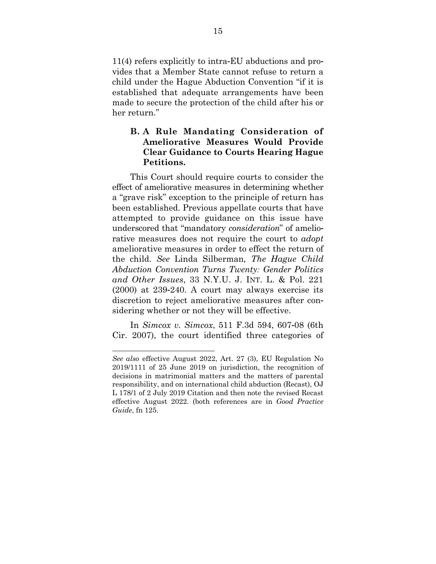11(4) refers explicitly to intra-EU abductions and provides that a Member State cannot refuse to return a child under the Hague Abduction Convention "if it is established that adequate arrangements have been made to secure the protection of the child after his or her return."

## **B. A Rule Mandating Consideration of Ameliorative Measures Would Provide Clear Guidance to Courts Hearing Hague Petitions.**

This Court should require courts to consider the effect of ameliorative measures in determining whether a "grave risk" exception to the principle of return has been established. Previous appellate courts that have attempted to provide guidance on this issue have underscored that "mandatory *consideration*" of ameliorative measures does not require the court to *adopt*  ameliorative measures in order to effect the return of the child. *See* Linda Silberman*, The Hague Child Abduction Convention Turns Twenty: Gender Politics and Other Issues*, 33 N.Y.U. J. INT. L. & Pol. 221 (2000) at 239-240. A court may always exercise its discretion to reject ameliorative measures after considering whether or not they will be effective.

In *Simcox v. Simcox*, 511 F.3d 594, 607-08 (6th Cir. 2007), the court identified three categories of

*See also* effective August 2022, Art. 27 (3), EU Regulation No 2019/1111 of 25 June 2019 on jurisdiction, the recognition of decisions in matrimonial matters and the matters of parental responsibility, and on international child abduction (Recast), OJ L 178/1 of 2 July 2019 Citation and then note the revised Recast effective August 2022. (both references are in *Good Practice Guide*, fn 125.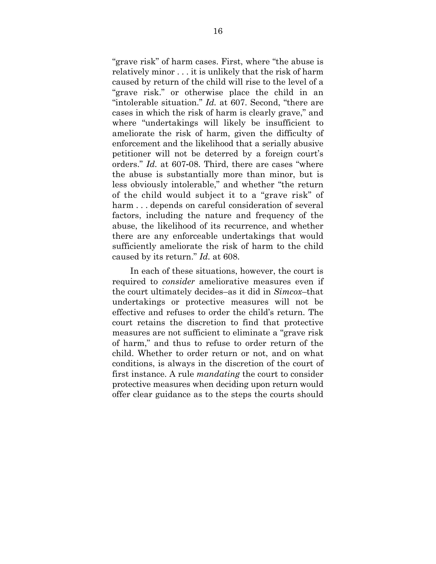"grave risk" of harm cases. First, where "the abuse is relatively minor . . . it is unlikely that the risk of harm caused by return of the child will rise to the level of a "grave risk." or otherwise place the child in an "intolerable situation." *Id.* at 607. Second, "there are cases in which the risk of harm is clearly grave," and where "undertakings will likely be insufficient to ameliorate the risk of harm, given the difficulty of enforcement and the likelihood that a serially abusive petitioner will not be deterred by a foreign court's orders." *Id.* at 607-08. Third, there are cases "where the abuse is substantially more than minor, but is less obviously intolerable," and whether "the return of the child would subject it to a "grave risk" of harm ... depends on careful consideration of several factors, including the nature and frequency of the abuse, the likelihood of its recurrence, and whether there are any enforceable undertakings that would sufficiently ameliorate the risk of harm to the child caused by its return." *Id.* at 608.

In each of these situations, however, the court is required to *consider* ameliorative measures even if the court ultimately decides–as it did in *Simcox*–that undertakings or protective measures will not be effective and refuses to order the child's return. The court retains the discretion to find that protective measures are not sufficient to eliminate a "grave risk of harm," and thus to refuse to order return of the child. Whether to order return or not, and on what conditions, is always in the discretion of the court of first instance. A rule *mandating* the court to consider protective measures when deciding upon return would offer clear guidance as to the steps the courts should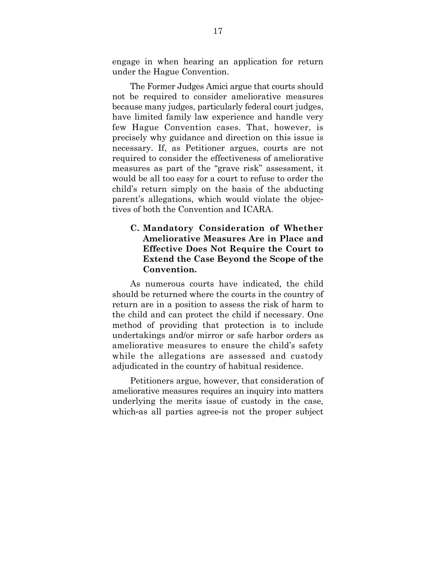engage in when hearing an application for return under the Hague Convention.

The Former Judges Amici argue that courts should not be required to consider ameliorative measures because many judges, particularly federal court judges, have limited family law experience and handle very few Hague Convention cases. That, however, is precisely why guidance and direction on this issue is necessary. If, as Petitioner argues, courts are not required to consider the effectiveness of ameliorative measures as part of the "grave risk" assessment, it would be all too easy for a court to refuse to order the child's return simply on the basis of the abducting parent's allegations, which would violate the objectives of both the Convention and ICARA.

**C. Mandatory Consideration of Whether Ameliorative Measures Are in Place and Effective Does Not Require the Court to Extend the Case Beyond the Scope of the Convention.** 

As numerous courts have indicated, the child should be returned where the courts in the country of return are in a position to assess the risk of harm to the child and can protect the child if necessary. One method of providing that protection is to include undertakings and/or mirror or safe harbor orders as ameliorative measures to ensure the child's safety while the allegations are assessed and custody adjudicated in the country of habitual residence.

Petitioners argue, however, that consideration of ameliorative measures requires an inquiry into matters underlying the merits issue of custody in the case, which-as all parties agree-is not the proper subject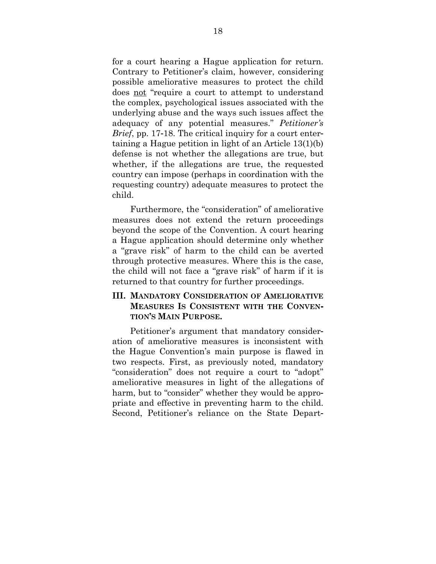for a court hearing a Hague application for return. Contrary to Petitioner's claim, however, considering possible ameliorative measures to protect the child does not "require a court to attempt to understand the complex, psychological issues associated with the underlying abuse and the ways such issues affect the adequacy of any potential measures." *Petitioner's Brief*, pp. 17-18. The critical inquiry for a court entertaining a Hague petition in light of an Article 13(1)(b) defense is not whether the allegations are true, but whether, if the allegations are true, the requested country can impose (perhaps in coordination with the requesting country) adequate measures to protect the child.

Furthermore, the "consideration" of ameliorative measures does not extend the return proceedings beyond the scope of the Convention. A court hearing a Hague application should determine only whether a "grave risk" of harm to the child can be averted through protective measures. Where this is the case, the child will not face a "grave risk" of harm if it is returned to that country for further proceedings.

### **III. MANDATORY CONSIDERATION OF AMELIORATIVE MEASURES IS CONSISTENT WITH THE CONVEN-TION'S MAIN PURPOSE.**

Petitioner's argument that mandatory consideration of ameliorative measures is inconsistent with the Hague Convention's main purpose is flawed in two respects. First, as previously noted, mandatory "consideration" does not require a court to "adopt" ameliorative measures in light of the allegations of harm, but to "consider" whether they would be appropriate and effective in preventing harm to the child. Second, Petitioner's reliance on the State Depart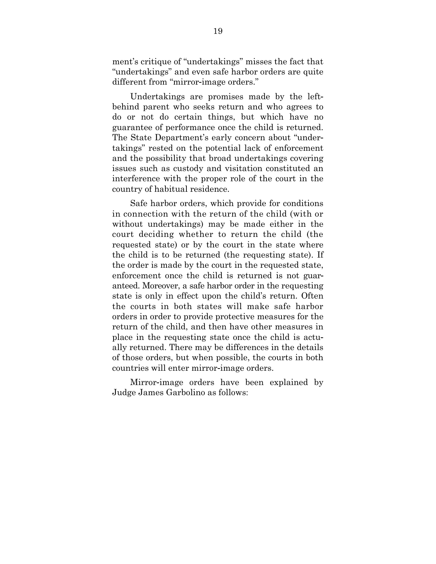ment's critique of "undertakings" misses the fact that "undertakings" and even safe harbor orders are quite different from "mirror-image orders."

Undertakings are promises made by the leftbehind parent who seeks return and who agrees to do or not do certain things, but which have no guarantee of performance once the child is returned. The State Department's early concern about "undertakings" rested on the potential lack of enforcement and the possibility that broad undertakings covering issues such as custody and visitation constituted an interference with the proper role of the court in the country of habitual residence.

Safe harbor orders, which provide for conditions in connection with the return of the child (with or without undertakings) may be made either in the court deciding whether to return the child (the requested state) or by the court in the state where the child is to be returned (the requesting state). If the order is made by the court in the requested state, enforcement once the child is returned is not guaranteed. Moreover, a safe harbor order in the requesting state is only in effect upon the child's return. Often the courts in both states will make safe harbor orders in order to provide protective measures for the return of the child, and then have other measures in place in the requesting state once the child is actually returned. There may be differences in the details of those orders, but when possible, the courts in both countries will enter mirror-image orders.

Mirror-image orders have been explained by Judge James Garbolino as follows: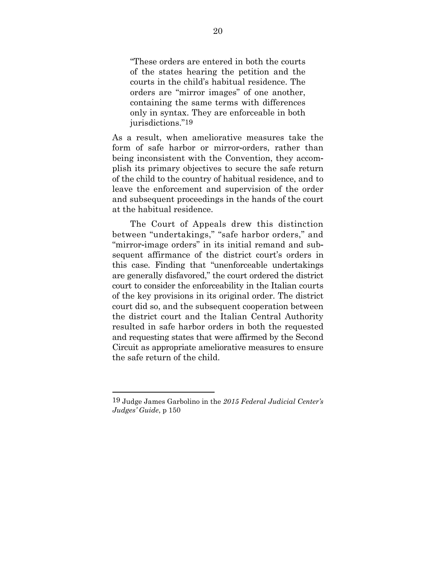"These orders are entered in both the courts of the states hearing the petition and the courts in the child's habitual residence. The orders are "mirror images" of one another, containing the same terms with differences only in syntax. They are enforceable in both jurisdictions."19

As a result, when ameliorative measures take the form of safe harbor or mirror-orders, rather than being inconsistent with the Convention, they accomplish its primary objectives to secure the safe return of the child to the country of habitual residence, and to leave the enforcement and supervision of the order and subsequent proceedings in the hands of the court at the habitual residence.

The Court of Appeals drew this distinction between "undertakings," "safe harbor orders," and "mirror-image orders" in its initial remand and subsequent affirmance of the district court's orders in this case. Finding that "unenforceable undertakings are generally disfavored," the court ordered the district court to consider the enforceability in the Italian courts of the key provisions in its original order. The district court did so, and the subsequent cooperation between the district court and the Italian Central Authority resulted in safe harbor orders in both the requested and requesting states that were affirmed by the Second Circuit as appropriate ameliorative measures to ensure the safe return of the child.

<sup>19</sup> Judge James Garbolino in the *2015 Federal Judicial Center's Judges' Guide*, p 150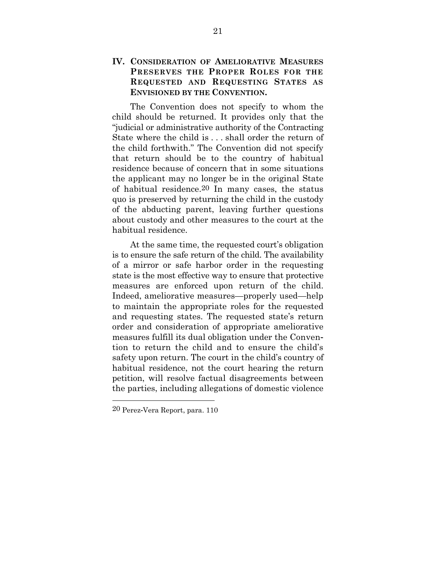#### **IV. CONSIDERATION OF AMELIORATIVE MEASURES PRESERVES THE PROPER ROLES FOR THE REQUESTED AND REQUESTING STATES AS ENVISIONED BY THE CONVENTION.**

The Convention does not specify to whom the child should be returned. It provides only that the "judicial or administrative authority of the Contracting State where the child is . . . shall order the return of the child forthwith." The Convention did not specify that return should be to the country of habitual residence because of concern that in some situations the applicant may no longer be in the original State of habitual residence.20 In many cases, the status quo is preserved by returning the child in the custody of the abducting parent, leaving further questions about custody and other measures to the court at the habitual residence.

At the same time, the requested court's obligation is to ensure the safe return of the child. The availability of a mirror or safe harbor order in the requesting state is the most effective way to ensure that protective measures are enforced upon return of the child. Indeed, ameliorative measures—properly used—help to maintain the appropriate roles for the requested and requesting states. The requested state's return order and consideration of appropriate ameliorative measures fulfill its dual obligation under the Convention to return the child and to ensure the child's safety upon return. The court in the child's country of habitual residence, not the court hearing the return petition, will resolve factual disagreements between the parties, including allegations of domestic violence

<sup>20</sup> Perez-Vera Report, para. 110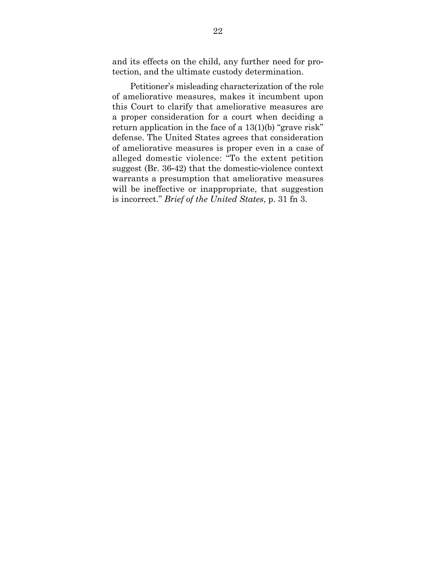and its effects on the child, any further need for protection, and the ultimate custody determination.

Petitioner's misleading characterization of the role of ameliorative measures, makes it incumbent upon this Court to clarify that ameliorative measures are a proper consideration for a court when deciding a return application in the face of a 13(1)(b) "grave risk" defense. The United States agrees that consideration of ameliorative measures is proper even in a case of alleged domestic violence: "To the extent petition suggest (Br. 36-42) that the domestic-violence context warrants a presumption that ameliorative measures will be ineffective or inappropriate, that suggestion is incorrect." *Brief of the United States*, p. 31 fn 3.